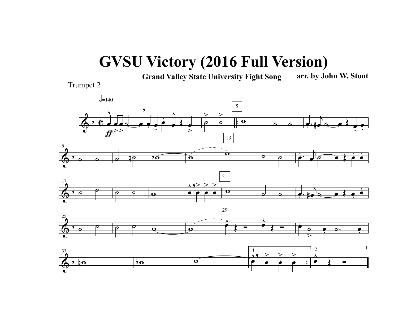## **GVSU Victory (2016 Full Version)**

**Grand Valley State University Fight Song arr. by John W. Stout**

Trumpet 2

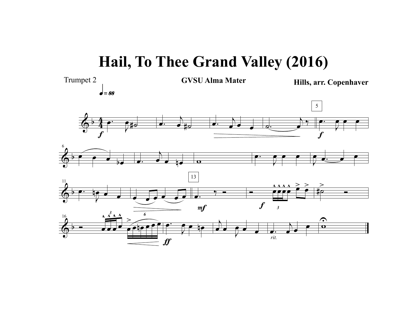## **Hail, To Thee Grand Valley (2016)**

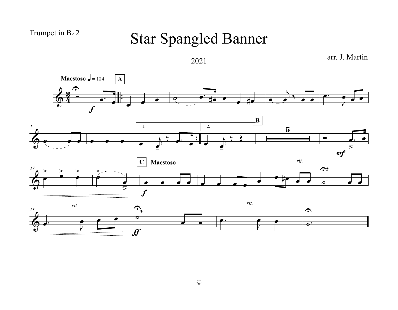## Trumpet in B $\frac{1}{2}$

## Star Spangled Banner



arr. J. Martin

©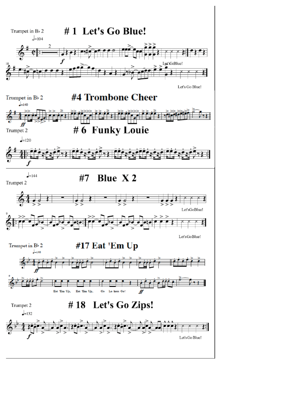